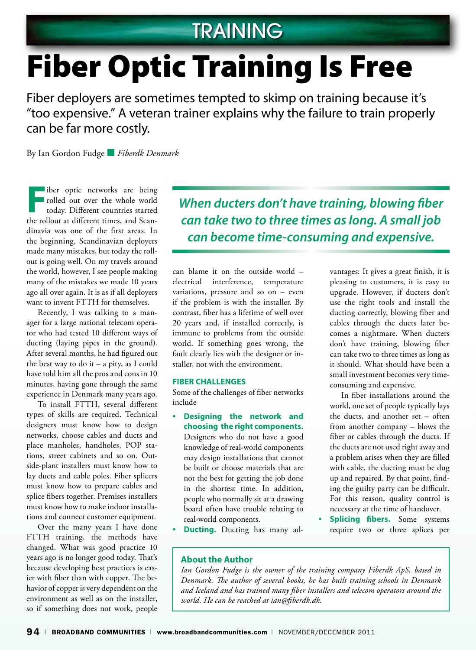## **TRAINING**

# Fiber Optic Training Is Free

Fiber deployers are sometimes tempted to skimp on training because it's "too expensive." A veteran trainer explains why the failure to train properly can be far more costly.

By Ian Gordon Fudge ■ *Fiberdk Denmark*

**Fiber optic networks are being<br>rolled out over the whole world<br>today. Different countries started<br>the rollow at different times, and Sean** rolled out over the whole world today. Different countries started the rollout at different times, and Scandinavia was one of the first areas. In the beginning, Scandinavian deployers made many mistakes, but today the rollout is going well. On my travels around the world, however, I see people making many of the mistakes we made 10 years ago all over again. It is as if all deployers want to invent FTTH for themselves.

Recently, I was talking to a manager for a large national telecom operator who had tested 10 different ways of ducting (laying pipes in the ground). After several months, he had figured out the best way to do it  $-$  a pity, as I could have told him all the pros and cons in 10 minutes, having gone through the same experience in Denmark many years ago.

To install FTTH, several different types of skills are required. Technical designers must know how to design networks, choose cables and ducts and place manholes, handholes, POP stations, street cabinets and so on. Outside-plant installers must know how to lay ducts and cable poles. Fiber splicers must know how to prepare cables and splice fibers together. Premises installers must know how to make indoor installations and connect customer equipment.

Over the many years I have done FTTH training, the methods have changed. What was good practice 10 years ago is no longer good today. That's because developing best practices is easier with fiber than with copper. The behavior of copper is very dependent on the environment as well as on the installer, so if something does not work, people *When ducters don't have training, blowing fiber can take two to three times as long. A small job can become time-consuming and expensive.*

can blame it on the outside world – electrical interference, temperature variations, pressure and so on – even if the problem is with the installer. By contrast, fiber has a lifetime of well over 20 years and, if installed correctly, is immune to problems from the outside world. If something goes wrong, the fault clearly lies with the designer or installer, not with the environment.

#### **Fiber Challenges**

Some of the challenges of fiber networks include

- **Designing the network and choosing the right components.** Designers who do not have a good knowledge of real-world components may design installations that cannot be built or choose materials that are not the best for getting the job done in the shortest time. In addition, people who normally sit at a drawing board often have trouble relating to real-world components.
- **Ducting.** Ducting has many ad-

vantages: It gives a great finish, it is pleasing to customers, it is easy to upgrade. However, if ducters don't use the right tools and install the ducting correctly, blowing fiber and cables through the ducts later becomes a nightmare. When ducters don't have training, blowing fiber can take two to three times as long as it should. What should have been a small investment becomes very timeconsuming and expensive.

In fiber installations around the world, one set of people typically lays the ducts, and another set – often from another company – blows the fiber or cables through the ducts. If the ducts are not used right away and a problem arises when they are filled with cable, the ducting must be dug up and repaired. By that point, finding the guilty party can be difficult. For this reason, quality control is necessary at the time of handover.

**Splicing fibers.** Some systems require two or three splices per

#### **About the Author**

*Ian Gordon Fudge is the owner of the training company Fiberdk ApS, based in Denmark. The author of several books, he has built training schools in Denmark and Iceland and has trained many fiber installers and telecom operators around the world. He can be reached at ian@fiberdk.dk.*